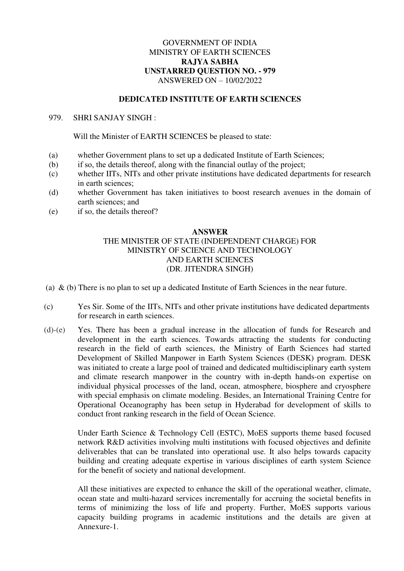### GOVERNMENT OF INDIA MINISTRY OF EARTH SCIENCES **RAJYA SABHA UNSTARRED QUESTION NO. - 979**  ANSWERED ON – 10/02/2022

#### **DEDICATED INSTITUTE OF EARTH SCIENCES**

#### 979. SHRI SANJAY SINGH :

Will the Minister of EARTH SCIENCES be pleased to state:

- (a) whether Government plans to set up a dedicated Institute of Earth Sciences;
- (b) if so, the details thereof, along with the financial outlay of the project;
- (c) whether IITs, NITs and other private institutions have dedicated departments for research in earth sciences;
- (d) whether Government has taken initiatives to boost research avenues in the domain of earth sciences; and
- (e) if so, the details thereof?

#### **ANSWER**

# THE MINISTER OF STATE (INDEPENDENT CHARGE) FOR MINISTRY OF SCIENCE AND TECHNOLOGY AND EARTH SCIENCES (DR. JITENDRA SINGH)

(a) & (b) There is no plan to set up a dedicated Institute of Earth Sciences in the near future.

- (c) Yes Sir. Some of the IITs, NITs and other private institutions have dedicated departments for research in earth sciences.
- (d)-(e) Yes. There has been a gradual increase in the allocation of funds for Research and development in the earth sciences. Towards attracting the students for conducting research in the field of earth sciences, the Ministry of Earth Sciences had started Development of Skilled Manpower in Earth System Sciences (DESK) program. DESK was initiated to create a large pool of trained and dedicated multidisciplinary earth system and climate research manpower in the country with in-depth hands-on expertise on individual physical processes of the land, ocean, atmosphere, biosphere and cryosphere with special emphasis on climate modeling. Besides, an International Training Centre for Operational Oceanography has been setup in Hyderabad for development of skills to conduct front ranking research in the field of Ocean Science.

Under Earth Science & Technology Cell (ESTC), MoES supports theme based focused network R&D activities involving multi institutions with focused objectives and definite deliverables that can be translated into operational use. It also helps towards capacity building and creating adequate expertise in various disciplines of earth system Science for the benefit of society and national development.

All these initiatives are expected to enhance the skill of the operational weather, climate, ocean state and multi-hazard services incrementally for accruing the societal benefits in terms of minimizing the loss of life and property. Further, MoES supports various capacity building programs in academic institutions and the details are given at Annexure-1.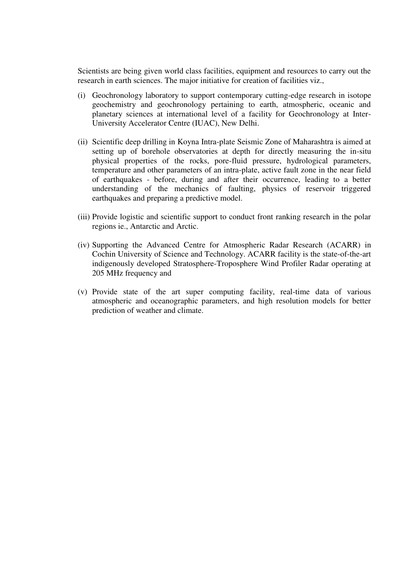Scientists are being given world class facilities, equipment and resources to carry out the research in earth sciences. The major initiative for creation of facilities viz.,

- (i) Geochronology laboratory to support contemporary cutting-edge research in isotope geochemistry and geochronology pertaining to earth, atmospheric, oceanic and planetary sciences at international level of a facility for Geochronology at Inter-University Accelerator Centre (IUAC), New Delhi.
- (ii) Scientific deep drilling in Koyna Intra-plate Seismic Zone of Maharashtra is aimed at setting up of borehole observatories at depth for directly measuring the in-situ physical properties of the rocks, pore-fluid pressure, hydrological parameters, temperature and other parameters of an intra-plate, active fault zone in the near field of earthquakes - before, during and after their occurrence, leading to a better understanding of the mechanics of faulting, physics of reservoir triggered earthquakes and preparing a predictive model.
- (iii) Provide logistic and scientific support to conduct front ranking research in the polar regions ie., Antarctic and Arctic.
- (iv) Supporting the Advanced Centre for Atmospheric Radar Research (ACARR) in Cochin University of Science and Technology. ACARR facility is the state-of-the-art indigenously developed Stratosphere-Troposphere Wind Profiler Radar operating at 205 MHz frequency and
- (v) Provide state of the art super computing facility, real-time data of various atmospheric and oceanographic parameters, and high resolution models for better prediction of weather and climate.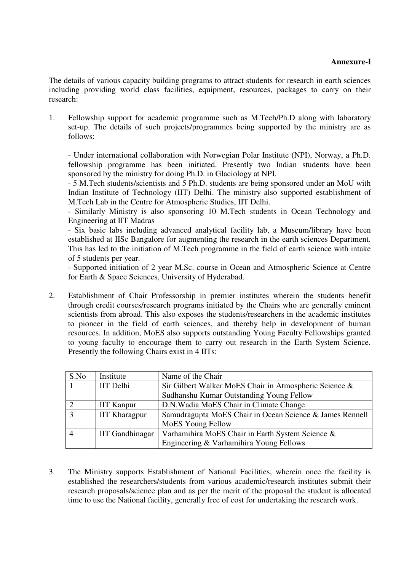# **Annexure-I**

The details of various capacity building programs to attract students for research in earth sciences including providing world class facilities, equipment, resources, packages to carry on their research:

1. Fellowship support for academic programme such as M.Tech/Ph.D along with laboratory set-up. The details of such projects/programmes being supported by the ministry are as follows:

- Under international collaboration with Norwegian Polar Institute (NPI), Norway, a Ph.D. fellowship programme has been initiated. Presently two Indian students have been sponsored by the ministry for doing Ph.D. in Glaciology at NPI.

- 5 M.Tech students/scientists and 5 Ph.D. students are being sponsored under an MoU with Indian Institute of Technology (IIT) Delhi. The ministry also supported establishment of M.Tech Lab in the Centre for Atmospheric Studies, IIT Delhi.

- Similarly Ministry is also sponsoring 10 M.Tech students in Ocean Technology and Engineering at IIT Madras

- Six basic labs including advanced analytical facility lab, a Museum/library have been established at IISc Bangalore for augmenting the research in the earth sciences Department. This has led to the initiation of M.Tech programme in the field of earth science with intake of 5 students per year.

- Supported initiation of 2 year M.Sc. course in Ocean and Atmospheric Science at Centre for Earth & Space Sciences, University of Hyderabad.

2. Establishment of Chair Professorship in premier institutes wherein the students benefit through credit courses/research programs initiated by the Chairs who are generally eminent scientists from abroad. This also exposes the students/researchers in the academic institutes to pioneer in the field of earth sciences, and thereby help in development of human resources. In addition, MoES also supports outstanding Young Faculty Fellowships granted to young faculty to encourage them to carry out research in the Earth System Science. Presently the following Chairs exist in 4 IITs:

| S.No         | Institute              | Name of the Chair                                        |  |
|--------------|------------------------|----------------------------------------------------------|--|
|              | <b>IIT</b> Delhi       | Sir Gilbert Walker MoES Chair in Atmospheric Science &   |  |
|              |                        | Sudhanshu Kumar Outstanding Young Fellow                 |  |
|              | <b>IIT Kanpur</b>      | D.N. Wadia MoES Chair in Climate Change                  |  |
| $\mathbf{a}$ | <b>IIT Kharagpur</b>   | Samudragupta MoES Chair in Ocean Science & James Rennell |  |
|              |                        | MoES Young Fellow                                        |  |
|              | <b>IIT Gandhinagar</b> | Varhamihira MoES Chair in Earth System Science &         |  |
|              |                        | Engineering & Varhamihira Young Fellows                  |  |

3. The Ministry supports Establishment of National Facilities, wherein once the facility is established the researchers/students from various academic/research institutes submit their research proposals/science plan and as per the merit of the proposal the student is allocated time to use the National facility, generally free of cost for undertaking the research work.